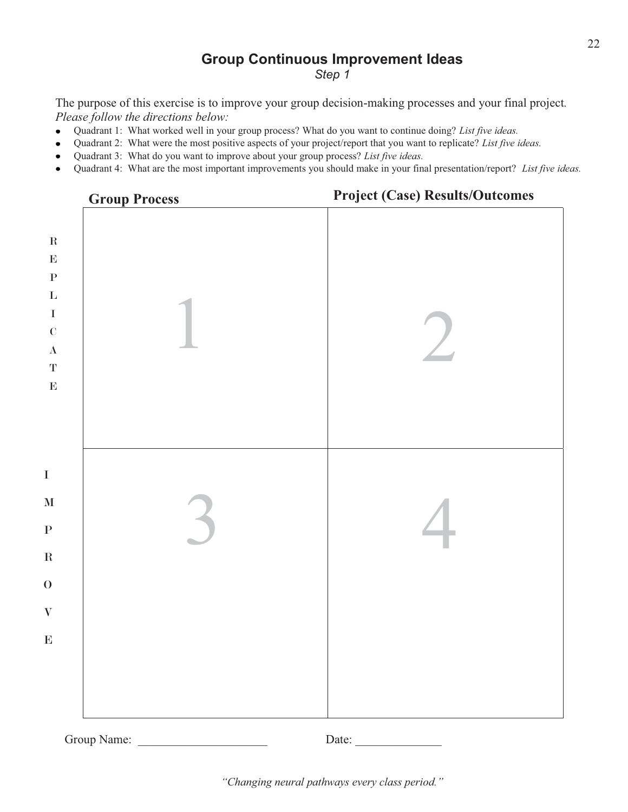# **Group Continuous Improvement Ideas**

*Step 1* 

The purpose of this exercise is to improve your group decision-making processes and your final project*. Please follow the directions below:* 

- Quadrant 1: What worked well in your group process? What do you want to continue doing? *List five ideas.*  $\bullet$
- Quadrant 2: What were the most positive aspects of your project/report that you want to replicate? *List five ideas.*
- Quadrant 3: What do you want to improve about your group process? *List five ideas.*
- Quadrant 4: What are the most important improvements you should make in your final presentation/report? *List five ideas.*



Group Name:  $\Box$  Date: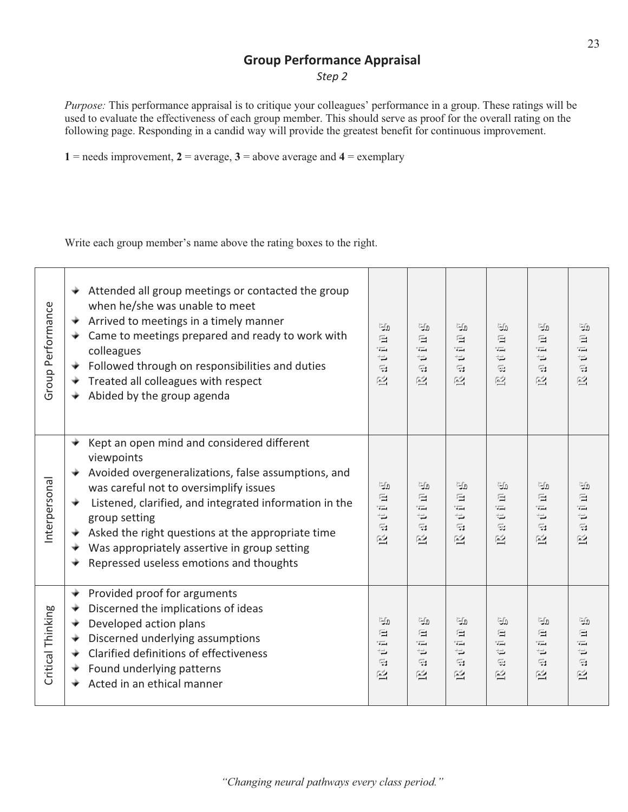#### **Group Performance Appraisal**

*Step 2* 

*Purpose:* This performance appraisal is to critique your colleagues' performance in a group. These ratings will be used to evaluate the effectiveness of each group member. This should serve as proof for the overall rating on the following page. Responding in a candid way will provide the greatest benefit for continuous improvement.

1 = needs improvement,  $2$  = average,  $3$  = above average and  $4$  = exemplary

Write each group member's name above the rating boxes to the right.

| Group Performance | Attended all group meetings or contacted the group<br>÷<br>when he/she was unable to meet<br>Arrived to meetings in a timely manner<br>Came to meetings prepared and ready to work with<br>colleagues<br>Followed through on responsibilities and duties<br>Treated all colleagues with respect<br>Abided by the group agenda                                                             | ريءَ<br>肩<br>$\overline{1}$<br>$\rightleftharpoons$<br>G<br>巹                     | ுற<br>启<br>$=$<br>$\Rightarrow$<br>Git.<br>凾                      | ுற<br>启<br>TЩ<br>$\Rightarrow$<br>G<br>巹                                   | ுற<br>启<br>$\overline{u}$<br>$\rightleftarrows$<br>Gi<br>凾 | ுற<br>昼<br>$\overline{1}$<br>$\Rightarrow$<br>Œз<br>巹           | ுற<br>启<br>$=$<br>$\rightleftarrows$<br>$\mathbb{Z}$<br>凾       |
|-------------------|-------------------------------------------------------------------------------------------------------------------------------------------------------------------------------------------------------------------------------------------------------------------------------------------------------------------------------------------------------------------------------------------|-----------------------------------------------------------------------------------|-------------------------------------------------------------------|----------------------------------------------------------------------------|------------------------------------------------------------|-----------------------------------------------------------------|-----------------------------------------------------------------|
| Interpersonal     | Kept an open mind and considered different<br>viewpoints<br>Avoided overgeneralizations, false assumptions, and<br>was careful not to oversimplify issues<br>Listened, clarified, and integrated information in the<br>÷<br>group setting<br>Asked the right questions at the appropriate time<br>Was appropriately assertive in group setting<br>Repressed useless emotions and thoughts | ريءَ<br>$\mathbf{H}$<br>$=$<br>$\rightleftharpoons$<br>$\mathbb{Z}$<br>巹          | பு<br>后<br>īΞ.<br>$\Rightarrow$<br>G<br>凾                         | رانیا<br>启<br>$\overline{1}$<br>$\Rightarrow$<br>G<br>巹                    | டு<br>昼<br>ъÉ.<br>$\rightleftarrows$<br>Git.<br>凾          | ريڪا<br>后<br>$\overline{1}$<br>$\Rightarrow$<br>G<br>凾          | ري€<br>启<br>TЩ<br>$\Rightarrow$<br>$\overline{\mathbb{Z}}$<br>凾 |
| Critical Thinking | Provided proof for arguments<br>₹<br>Discerned the implications of ideas<br>÷<br>Developed action plans<br>Discerned underlying assumptions<br>Clarified definitions of effectiveness<br>Found underlying patterns<br>Acted in an ethical manner                                                                                                                                          | ريءَ<br>后<br>$\overline{1}$<br>$\rightleftharpoons$<br>$\overrightarrow{33}$<br>巹 | ுற<br>后<br>īΞ.<br>$\rightleftarrows$<br>$\overrightarrow{3}$<br>巹 | ுற<br>画<br>$\overline{1}$<br>$\Rightarrow$<br>$\overline{\mathbb{R}}$<br>巹 | ுற<br>启<br>ĩЩ.<br>₩<br>Gi<br>巹                             | ுற<br>启<br>$\overline{1}$<br>$\Rightarrow$<br>$\mathbb{Z}$<br>巹 | ுற<br>后<br>$\overline{1}$<br>₩<br>$\mathbb{Z}$<br>凾             |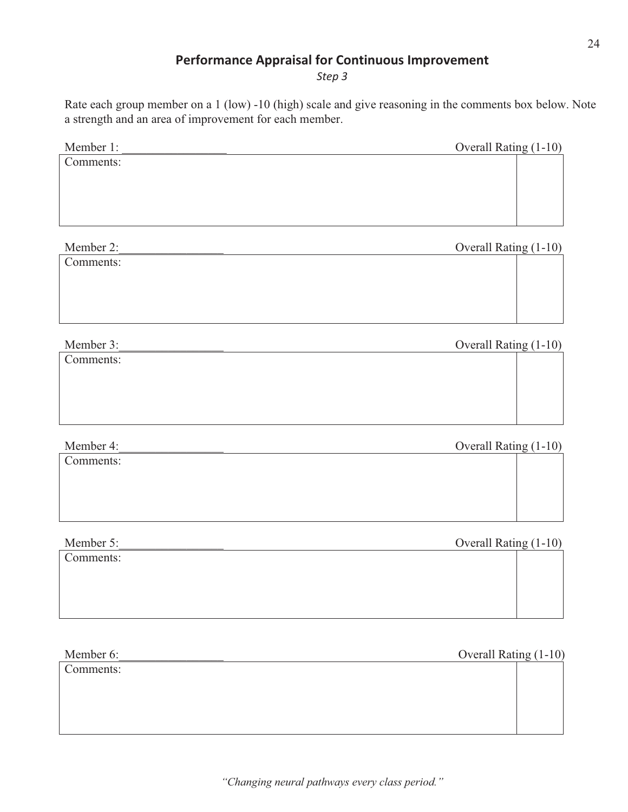### **Performance Appraisal for Continuous Improvement**

*Step 3* 

Rate each group member on a 1 (low) -10 (high) scale and give reasoning in the comments box below. Note a strength and an area of improvement for each member.

| Member 1: | Overall Rating (1-10) |  |
|-----------|-----------------------|--|
| Comments: |                       |  |
|           |                       |  |
|           |                       |  |
|           |                       |  |
|           |                       |  |
| Member 2: | Overall Rating (1-10) |  |
| Comments: |                       |  |
|           |                       |  |
|           |                       |  |
|           |                       |  |
|           |                       |  |
| Member 3: | Overall Rating (1-10) |  |

| Comments: |  |
|-----------|--|

Member 4: Coverall Rating (1-10)

Comments:

Member 5:\_\_\_\_\_\_\_\_\_\_\_\_\_\_\_\_\_ Overall Rating (1-10)

Comments:

Member 6: Coverall Rating (1-10)

Comments:

*"Changing neural pathways every class period."*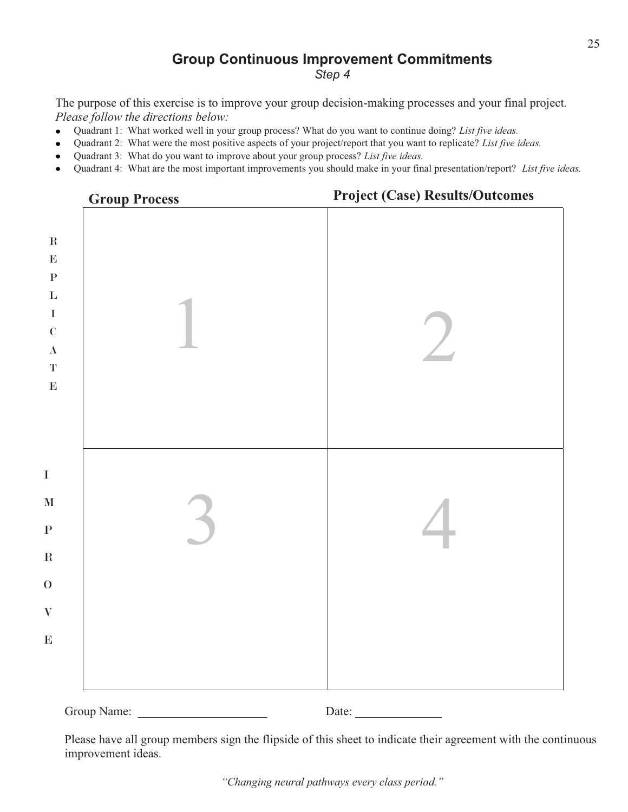## **Group Continuous Improvement Commitments**

*Step 4* 

The purpose of this exercise is to improve your group decision-making processes and your final project*. Please follow the directions below:* 

- Quadrant 1: What worked well in your group process? What do you want to continue doing? *List five ideas.*  $\bullet$
- Quadrant 2: What were the most positive aspects of your project/report that you want to replicate? *List five ideas.*
- Quadrant 3: What do you want to improve about your group process? *List five ideas.*
- Quadrant 4: What are the most important improvements you should make in your final presentation/report? *List five ideas.*



Please have all group members sign the flipside of this sheet to indicate their agreement with the continuous improvement ideas.

*"Changing neural pathways every class period."*